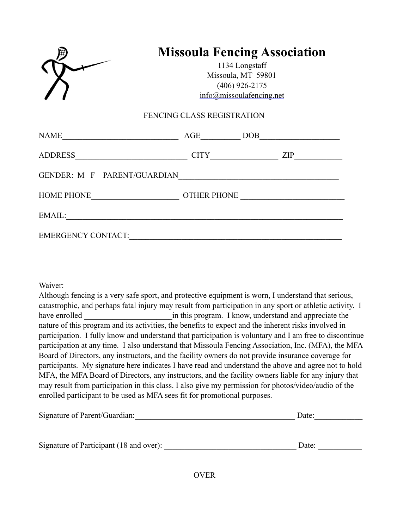|                           | <b>Missoula Fencing Association</b><br>1134 Longstaff<br>Missoula, MT 59801<br>$(406)$ 926-2175<br>$info(\partial)$ missoulafencing.net |  |  |  |
|---------------------------|-----------------------------------------------------------------------------------------------------------------------------------------|--|--|--|
|                           | FENCING CLASS REGISTRATION                                                                                                              |  |  |  |
|                           |                                                                                                                                         |  |  |  |
|                           | ADDRESS <u>University CITY</u> CITY <u>University CITY</u>                                                                              |  |  |  |
|                           |                                                                                                                                         |  |  |  |
|                           |                                                                                                                                         |  |  |  |
|                           |                                                                                                                                         |  |  |  |
| <b>EMERGENCY CONTACT:</b> |                                                                                                                                         |  |  |  |

Waiver:

Although fencing is a very safe sport, and protective equipment is worn, I understand that serious, catastrophic, and perhaps fatal injury may result from participation in any sport or athletic activity. I have enrolled **the intervalled** in this program. I know, understand and appreciate the nature of this program and its activities, the benefits to expect and the inherent risks involved in participation. I fully know and understand that participation is voluntary and I am free to discontinue participation at any time. I also understand that Missoula Fencing Association, Inc. (MFA), the MFA Board of Directors, any instructors, and the facility owners do not provide insurance coverage for participants. My signature here indicates I have read and understand the above and agree not to hold MFA, the MFA Board of Directors, any instructors, and the facility owners liable for any injury that may result from participation in this class. I also give my permission for photos/video/audio of the enrolled participant to be used as MFA sees fit for promotional purposes.

| Signature of Parent/Guardian:           | Date: |  |
|-----------------------------------------|-------|--|
|                                         |       |  |
| Signature of Participant (18 and over): | Date: |  |